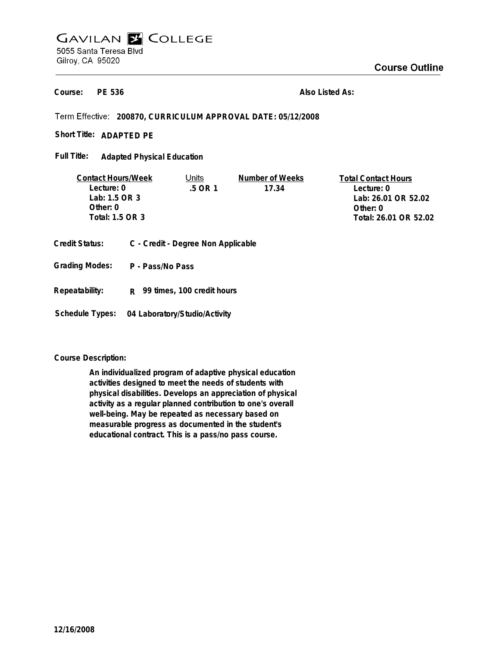# **GAVILAN E COLLEGE** 5055 Santa Teresa Blvd Gilroy, CA 95020

**PE 536 Course:**

**Also Listed As:**

**200870, CURRICULUM APPROVAL DATE: 05/12/2008**

Short Title: ADAPTED PE

**Adapted Physical Education Full Title:**

| <b>Contact Hours/Week</b> | Units   | Number of Weeks | <b>Total Contact Hours</b> |
|---------------------------|---------|-----------------|----------------------------|
| Lecture: 0                | .5 OR 1 | 17.34           | Lecture: 0                 |
| Lab: 1.5 OR 3             |         |                 | Lab: 26.01 OR 52.02        |
| Other: $0$                |         |                 | Other: 0                   |
| Total: 1.5 OR 3           |         |                 | Total: 26.01 OR 52.02      |
|                           |         |                 |                            |

- **Credit Status: C Credit Degree Non Applicable**
- **P Pass/No Pass Grading Modes:**
- **Repeatability: R 99 times, 100 credit hours**

**Schedule Types: 04 Laboratory/Studio/Activity**

**Course Description:**

**An individualized program of adaptive physical education activities designed to meet the needs of students with physical disabilities. Develops an appreciation of physical activity as a regular planned contribution to one's overall well-being. May be repeated as necessary based on measurable progress as documented in the student's educational contract. This is a pass/no pass course.**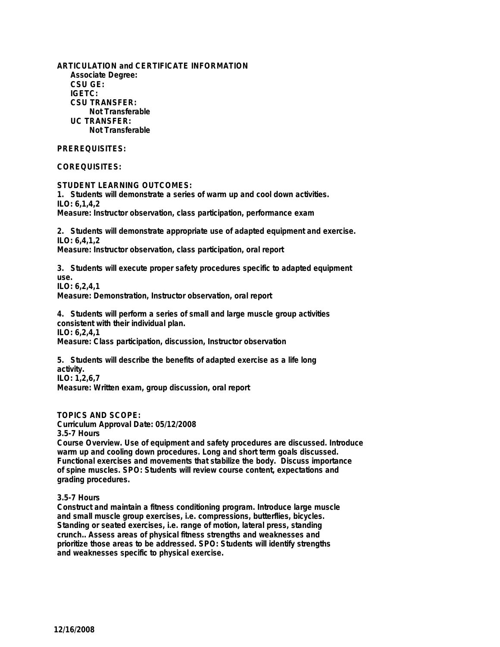**ARTICULATION and CERTIFICATE INFORMATION Associate Degree: CSU GE: IGETC: CSU TRANSFER: Not Transferable UC TRANSFER: Not Transferable**

## **PREREQUISITES:**

### **COREQUISITES:**

**STUDENT LEARNING OUTCOMES:**

**1. Students will demonstrate a series of warm up and cool down activities. ILO: 6,1,4,2**

**Measure: Instructor observation, class participation, performance exam**

**2. Students will demonstrate appropriate use of adapted equipment and exercise. ILO: 6,4,1,2 Measure: Instructor observation, class participation, oral report**

**3. Students will execute proper safety procedures specific to adapted equipment use.**

**ILO: 6,2,4,1 Measure: Demonstration, Instructor observation, oral report**

**4. Students will perform a series of small and large muscle group activities consistent with their individual plan. ILO: 6,2,4,1 Measure: Class participation, discussion, Instructor observation**

**5. Students will describe the benefits of adapted exercise as a life long activity. ILO: 1,2,6,7 Measure: Written exam, group discussion, oral report**

## **TOPICS AND SCOPE:**

**Curriculum Approval Date: 05/12/2008**

**3.5-7 Hours**

**Course Overview. Use of equipment and safety procedures are discussed. Introduce warm up and cooling down procedures. Long and short term goals discussed. Functional exercises and movements that stabilize the body. Discuss importance of spine muscles. SPO: Students will review course content, expectations and grading procedures.**

#### **3.5-7 Hours**

**Construct and maintain a fitness conditioning program. Introduce large muscle and small muscle group exercises, i.e. compressions, butterflies, bicycles. Standing or seated exercises, i.e. range of motion, lateral press, standing crunch.. Assess areas of physical fitness strengths and weaknesses and prioritize those areas to be addressed. SPO: Students will identify strengths and weaknesses specific to physical exercise.**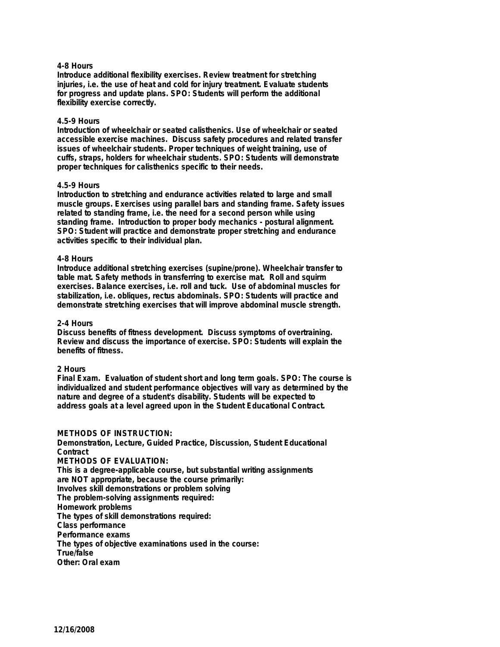#### **4-8 Hours**

**Introduce additional flexibility exercises. Review treatment for stretching injuries, i.e. the use of heat and cold for injury treatment. Evaluate students for progress and update plans. SPO: Students will perform the additional flexibility exercise correctly.**

#### **4.5-9 Hours**

**Introduction of wheelchair or seated calisthenics. Use of wheelchair or seated accessible exercise machines. Discuss safety procedures and related transfer issues of wheelchair students. Proper techniques of weight training, use of cuffs, straps, holders for wheelchair students. SPO: Students will demonstrate proper techniques for calisthenics specific to their needs.**

#### **4.5-9 Hours**

**Introduction to stretching and endurance activities related to large and small muscle groups. Exercises using parallel bars and standing frame. Safety issues related to standing frame, i.e. the need for a second person while using standing frame. Introduction to proper body mechanics - postural alignment. SPO: Student will practice and demonstrate proper stretching and endurance activities specific to their individual plan.**

#### **4-8 Hours**

**Introduce additional stretching exercises (supine/prone). Wheelchair transfer to table mat. Safety methods in transferring to exercise mat. Roll and squirm exercises. Balance exercises, i.e. roll and tuck. Use of abdominal muscles for stabilization, i.e. obliques, rectus abdominals. SPO: Students will practice and demonstrate stretching exercises that will improve abdominal muscle strength.**

#### **2-4 Hours**

**Discuss benefits of fitness development. Discuss symptoms of overtraining. Review and discuss the importance of exercise. SPO: Students will explain the benefits of fitness.**

#### **2 Hours**

**Final Exam. Evaluation of student short and long term goals. SPO: The course is individualized and student performance objectives will vary as determined by the nature and degree of a student's disability. Students will be expected to address goals at a level agreed upon in the Student Educational Contract.**

**METHODS OF INSTRUCTION: Demonstration, Lecture, Guided Practice, Discussion, Student Educational Contract METHODS OF EVALUATION: This is a degree-applicable course, but substantial writing assignments are NOT appropriate, because the course primarily: Involves skill demonstrations or problem solving The problem-solving assignments required: Homework problems The types of skill demonstrations required: Class performance Performance exams The types of objective examinations used in the course: True/false Other: Oral exam**